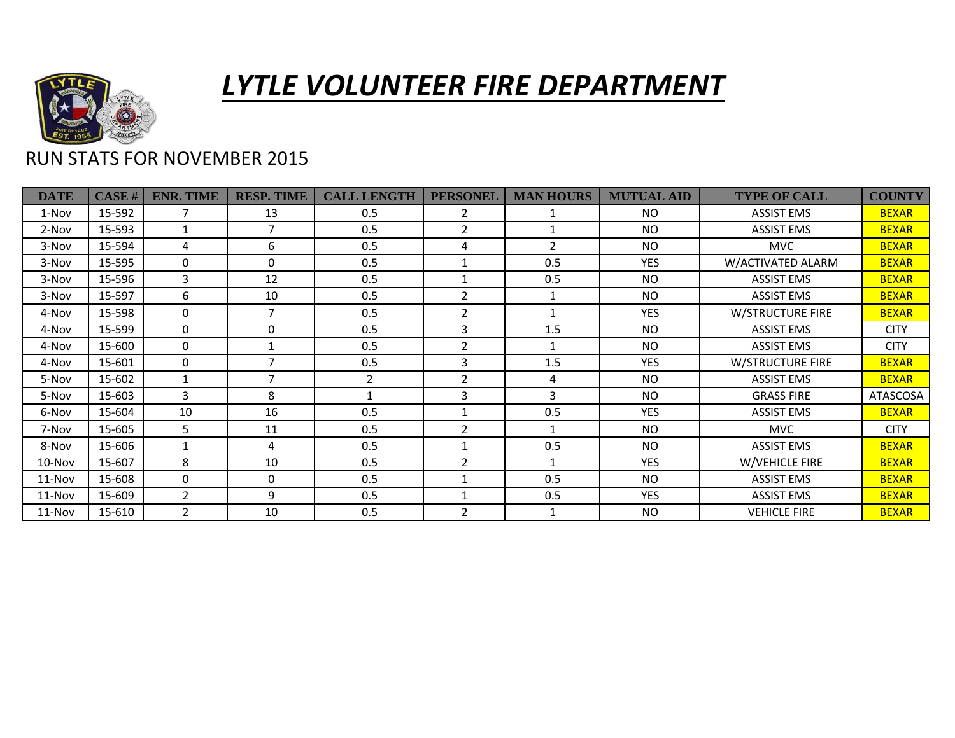

## *LYTLE VOLUNTEER FIRE DEPARTMENT*

## RUN STATS FOR NOVEMBER 2015

| <b>DATE</b> | CASE#  | <b>ENR. TIME</b> | <b>RESP. TIME</b> | <b>CALL LENGTH</b> | <b>PERSONEL</b> | <b>MAN HOURS</b> | <b>MUTUAL AID</b> | <b>TYPE OF CALL</b>     | <b>COUNTY</b>   |
|-------------|--------|------------------|-------------------|--------------------|-----------------|------------------|-------------------|-------------------------|-----------------|
| 1-Nov       | 15-592 | 7                | 13                | 0.5                | 2               |                  | <b>NO</b>         | <b>ASSIST EMS</b>       | <b>BEXAR</b>    |
| 2-Nov       | 15-593 | $\mathbf 1$      | $\overline{7}$    | 0.5                | $\overline{2}$  |                  | <b>NO</b>         | <b>ASSIST EMS</b>       | <b>BEXAR</b>    |
| 3-Nov       | 15-594 | 4                | 6                 | 0.5                | 4               | $\overline{2}$   | <b>NO</b>         | <b>MVC</b>              | <b>BEXAR</b>    |
| 3-Nov       | 15-595 | $\Omega$         | $\Omega$          | 0.5                | 1               | 0.5              | <b>YES</b>        | W/ACTIVATED ALARM       | <b>BEXAR</b>    |
| 3-Nov       | 15-596 | 3                | 12                | 0.5                | 1               | 0.5              | <b>NO</b>         | <b>ASSIST EMS</b>       | <b>BEXAR</b>    |
| 3-Nov       | 15-597 | 6                | 10                | 0.5                | $\overline{2}$  | 1                | <b>NO</b>         | <b>ASSIST EMS</b>       | <b>BEXAR</b>    |
| 4-Nov       | 15-598 | $\Omega$         | $\overline{7}$    | 0.5                | $\overline{2}$  | 1                | <b>YES</b>        | W/STRUCTURE FIRE        | <b>BEXAR</b>    |
| 4-Nov       | 15-599 | $\Omega$         | 0                 | 0.5                | 3               | 1.5              | <b>NO</b>         | <b>ASSIST EMS</b>       | <b>CITY</b>     |
| 4-Nov       | 15-600 | $\Omega$         |                   | 0.5                | $\overline{2}$  |                  | <b>NO</b>         | <b>ASSIST EMS</b>       | <b>CITY</b>     |
| 4-Nov       | 15-601 | $\Omega$         | $\overline{ }$    | 0.5                | 3               | 1.5              | <b>YES</b>        | <b>W/STRUCTURE FIRE</b> | <b>BEXAR</b>    |
| 5-Nov       | 15-602 |                  | $\overline{7}$    | $\overline{2}$     | $\overline{2}$  | 4                | <b>NO</b>         | <b>ASSIST EMS</b>       | <b>BEXAR</b>    |
| 5-Nov       | 15-603 | 3                | 8                 | $\mathbf{1}$       | 3               | 3                | NO.               | <b>GRASS FIRE</b>       | <b>ATASCOSA</b> |
| 6-Nov       | 15-604 | 10               | 16                | 0.5                | 1               | 0.5              | <b>YES</b>        | <b>ASSIST EMS</b>       | <b>BEXAR</b>    |
| 7-Nov       | 15-605 | 5                | 11                | 0.5                | $\overline{2}$  | $\mathbf{1}$     | <b>NO</b>         | <b>MVC</b>              | <b>CITY</b>     |
| 8-Nov       | 15-606 | 1                | 4                 | 0.5                | 1               | 0.5              | <b>NO</b>         | <b>ASSIST EMS</b>       | <b>BEXAR</b>    |
| 10-Nov      | 15-607 | 8                | 10                | 0.5                | 2               | $\mathbf{1}$     | <b>YES</b>        | W/VEHICLE FIRE          | <b>BEXAR</b>    |
| 11-Nov      | 15-608 | $\Omega$         | $\Omega$          | 0.5                | 1               | 0.5              | <b>NO</b>         | <b>ASSIST EMS</b>       | <b>BEXAR</b>    |
| 11-Nov      | 15-609 | 2                | 9                 | 0.5                | $\mathbf 1$     | 0.5              | <b>YES</b>        | <b>ASSIST EMS</b>       | <b>BEXAR</b>    |
| 11-Nov      | 15-610 | 2                | 10                | 0.5                | 2               |                  | NO.               | <b>VEHICLE FIRE</b>     | <b>BEXAR</b>    |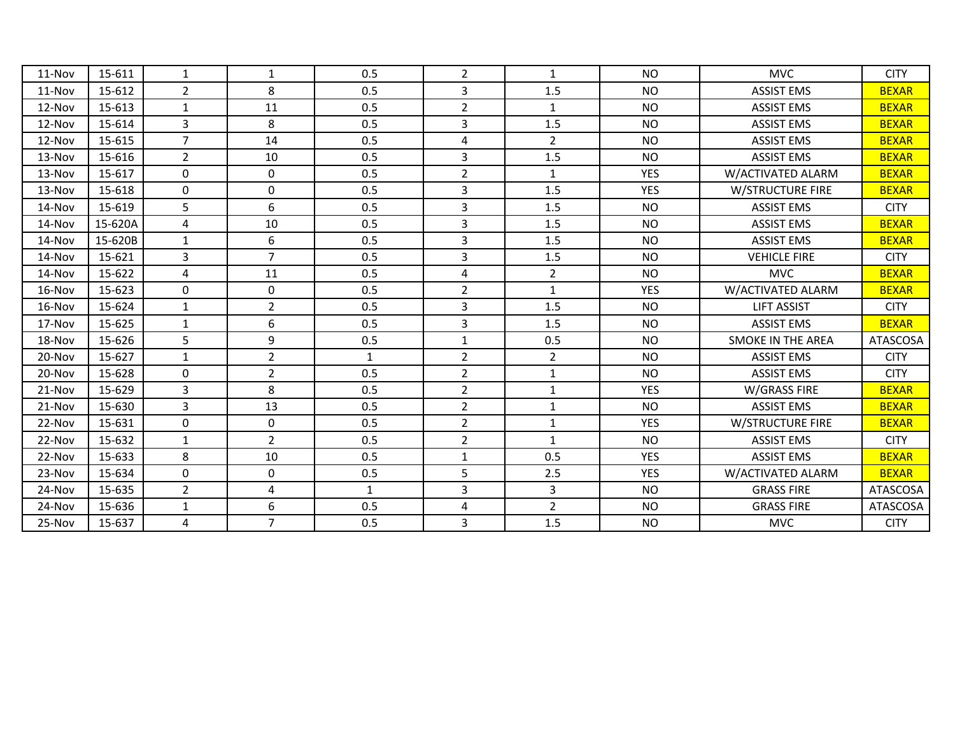| 11-Nov     | 15-611  | $\mathbf{1}$   | 1              | 0.5          | $\overline{2}$ | $\mathbf{1}$   | <b>NO</b>  | <b>MVC</b>               | <b>CITY</b>     |
|------------|---------|----------------|----------------|--------------|----------------|----------------|------------|--------------------------|-----------------|
| $11-Nov$   | 15-612  | $\overline{2}$ | 8              | 0.5          | 3              | 1.5            | <b>NO</b>  | <b>ASSIST EMS</b>        | <b>BEXAR</b>    |
| 12-Nov     | 15-613  | $\mathbf{1}$   | 11             | 0.5          | $\overline{2}$ | $\mathbf{1}$   | <b>NO</b>  | <b>ASSIST EMS</b>        | <b>BEXAR</b>    |
| 12-Nov     | 15-614  | 3              | 8              | 0.5          | $\overline{3}$ | 1.5            | <b>NO</b>  | <b>ASSIST EMS</b>        | <b>BEXAR</b>    |
| 12-Nov     | 15-615  | $\overline{7}$ | 14             | 0.5          | 4              | $\overline{2}$ | <b>NO</b>  | <b>ASSIST EMS</b>        | <b>BEXAR</b>    |
| $13-Nov$   | 15-616  | $\overline{2}$ | 10             | 0.5          | $\overline{3}$ | 1.5            | <b>NO</b>  | <b>ASSIST EMS</b>        | <b>BEXAR</b>    |
| 13-Nov     | 15-617  | $\mathbf 0$    | 0              | 0.5          | $\overline{2}$ | $\mathbf{1}$   | <b>YES</b> | W/ACTIVATED ALARM        | <b>BEXAR</b>    |
| 13-Nov     | 15-618  | $\Omega$       | $\mathbf 0$    | 0.5          | 3              | 1.5            | <b>YES</b> | <b>W/STRUCTURE FIRE</b>  | <b>BEXAR</b>    |
| $14 - Nov$ | 15-619  | 5              | 6              | 0.5          | 3              | 1.5            | <b>NO</b>  | <b>ASSIST EMS</b>        | <b>CITY</b>     |
| 14-Nov     | 15-620A | 4              | 10             | 0.5          | 3              | 1.5            | <b>NO</b>  | <b>ASSIST EMS</b>        | <b>BEXAR</b>    |
| $14 - Nov$ | 15-620B | $\mathbf{1}$   | 6              | 0.5          | $\overline{3}$ | 1.5            | <b>NO</b>  | <b>ASSIST EMS</b>        | <b>BEXAR</b>    |
| $14 - Nov$ | 15-621  | 3              | $\overline{7}$ | 0.5          | $\overline{3}$ | 1.5            | <b>NO</b>  | <b>VEHICLE FIRE</b>      | <b>CITY</b>     |
| 14-Nov     | 15-622  | 4              | 11             | 0.5          | $\overline{4}$ | $\overline{2}$ | <b>NO</b>  | <b>MVC</b>               | <b>BEXAR</b>    |
| 16-Nov     | 15-623  | 0              | 0              | 0.5          | $\overline{2}$ | $\mathbf{1}$   | <b>YES</b> | W/ACTIVATED ALARM        | <b>BEXAR</b>    |
| 16-Nov     | 15-624  | $\mathbf{1}$   | $\overline{2}$ | 0.5          | 3              | 1.5            | <b>NO</b>  | <b>LIFT ASSIST</b>       | <b>CITY</b>     |
| 17-Nov     | 15-625  | $\mathbf{1}$   | 6              | 0.5          | $\mathbf{3}$   | 1.5            | <b>NO</b>  | <b>ASSIST EMS</b>        | <b>BEXAR</b>    |
| 18-Nov     | 15-626  | 5              | 9              | 0.5          | $1\,$          | 0.5            | <b>NO</b>  | <b>SMOKE IN THE AREA</b> | <b>ATASCOSA</b> |
| 20-Nov     | 15-627  | $\mathbf{1}$   | $\overline{2}$ | $\mathbf{1}$ | $\overline{2}$ | $\overline{2}$ | <b>NO</b>  | <b>ASSIST EMS</b>        | <b>CITY</b>     |
| 20-Nov     | 15-628  | $\Omega$       | $\overline{2}$ | 0.5          | $\overline{2}$ | $\mathbf{1}$   | <b>NO</b>  | <b>ASSIST EMS</b>        | <b>CITY</b>     |
| 21-Nov     | 15-629  | $\overline{3}$ | 8              | 0.5          | $\overline{2}$ | $\mathbf{1}$   | <b>YES</b> | W/GRASS FIRE             | <b>BEXAR</b>    |
| 21-Nov     | 15-630  | $\overline{3}$ | 13             | 0.5          | $\overline{2}$ | $\mathbf{1}$   | <b>NO</b>  | <b>ASSIST EMS</b>        | <b>BEXAR</b>    |
| 22-Nov     | 15-631  | $\Omega$       | 0              | 0.5          | $\overline{2}$ | 1              | YES        | <b>W/STRUCTURE FIRE</b>  | <b>BEXAR</b>    |
| 22-Nov     | 15-632  | $\mathbf{1}$   | $\overline{2}$ | 0.5          | $\overline{2}$ | $\mathbf{1}$   | <b>NO</b>  | <b>ASSIST EMS</b>        | <b>CITY</b>     |
| 22-Nov     | 15-633  | 8              | 10             | 0.5          | $\mathbf{1}$   | 0.5            | <b>YES</b> | <b>ASSIST EMS</b>        | <b>BEXAR</b>    |
| $23-Nov$   | 15-634  | $\Omega$       | $\Omega$       | 0.5          | 5              | 2.5            | <b>YES</b> | W/ACTIVATED ALARM        | <b>BEXAR</b>    |
| 24-Nov     | 15-635  | $\overline{2}$ | 4              | $\mathbf{1}$ | 3              | 3              | <b>NO</b>  | <b>GRASS FIRE</b>        | <b>ATASCOSA</b> |
| 24-Nov     | 15-636  | $\mathbf{1}$   | 6              | 0.5          | 4              | $\overline{2}$ | <b>NO</b>  | <b>GRASS FIRE</b>        | ATASCOSA        |
| 25-Nov     | 15-637  | 4              | $\overline{7}$ | 0.5          | $\overline{3}$ | 1.5            | <b>NO</b>  | <b>MVC</b>               | <b>CITY</b>     |